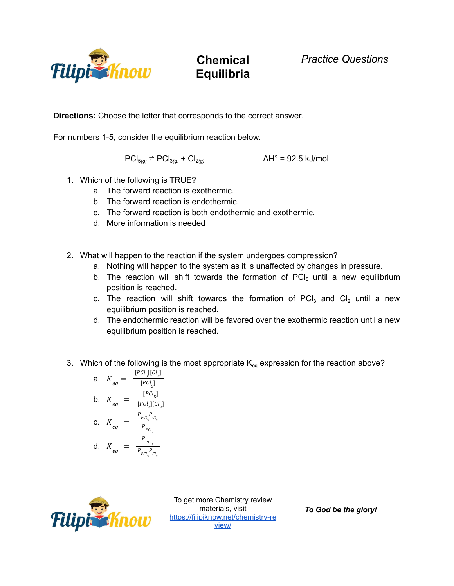

## **Chemical Equilibria**

**Directions:** Choose the letter that corresponds to the correct answer.

For numbers 1-5, consider the equilibrium reaction below.

$$
PCI_{5(g)} \rightleftharpoons PCI_{3(g)} + CI_{2(g)}
$$
 
$$
\Delta H^{\circ} = 92.5 \text{ kJ/mol}
$$

- 1. Which of the following is TRUE?
	- a. The forward reaction is exothermic.
	- b. The forward reaction is endothermic.
	- c. The forward reaction is both endothermic and exothermic.
	- d. More information is needed
- 2. What will happen to the reaction if the system undergoes compression?
	- a. Nothing will happen to the system as it is unaffected by changes in pressure.
	- b. The reaction will shift towards the formation of  $\overline{PC}I_5$  until a new equilibrium position is reached.
	- c. The reaction will shift towards the formation of  $\text{PCl}_3$  and  $\text{Cl}_2$  until a new equilibrium position is reached.
	- d. The endothermic reaction will be favored over the exothermic reaction until a new equilibrium position is reached.
- 3. Which of the following is the most appropriate  $K_{eq}$  expression for the reaction above?

**a.** 
$$
K_{eq} = \frac{[PCl_3][Cl_2]}{[PCl_5]}
$$
  
\n**b.**  $K_{eq} = \frac{[PCl_5]}{[PCl_3][Cl_2]}$   
\n**c.**  $K_{eq} = \frac{P_{PCl_s}}{P_{PCl_s}}$   
\n**d.**  $K_{eq} = \frac{P_{PCl_s}}{P_{PCl_s}}$ 



To get more Chemistry review materials, visit [https://filipiknow.net/chemistry-re](https://filipiknow.net/chemistry-review/) [view/](https://filipiknow.net/chemistry-review/)

*To God be the glory!*